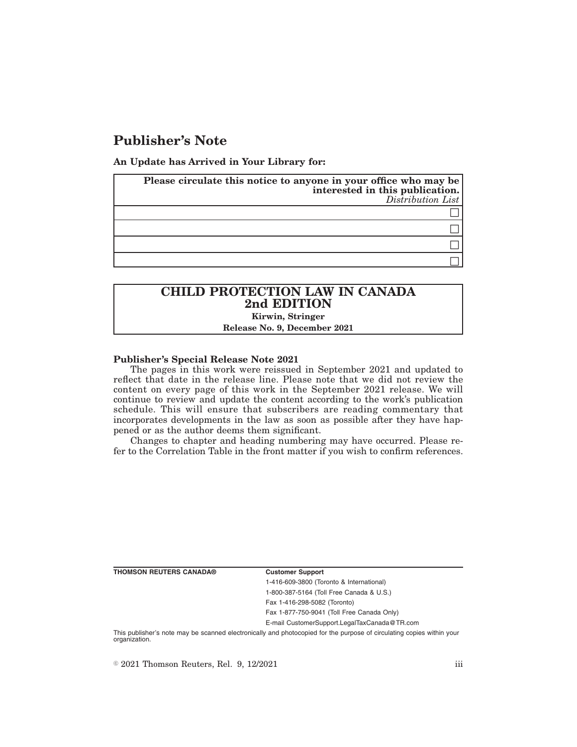# **Publisher's Note**

**An Update has Arrived in Your Library for:**

| Please circulate this notice to anyone in your office who may be<br>interested in this publication.<br>Distribution List |
|--------------------------------------------------------------------------------------------------------------------------|
|                                                                                                                          |
|                                                                                                                          |
|                                                                                                                          |
|                                                                                                                          |

## **CHILD PROTECTION LAW IN CANADA 2nd EDITION Kirwin, Stringer**

**Release No. 9, December 2021**

### **Publisher's Special Release Note 2021**

The pages in this work were reissued in September 2021 and updated to reflect that date in the release line. Please note that we did not review the content on every page of this work in the September 2021 release. We will continue to review and update the content according to the work's publication schedule. This will ensure that subscribers are reading commentary that incorporates developments in the law as soon as possible after they have happened or as the author deems them significant.

Changes to chapter and heading numbering may have occurred. Please refer to the Correlation Table in the front matter if you wish to confirm references.

**THOMSON REUTERS CANADA® Customer Support**

1-416-609-3800 (Toronto & International) 1-800-387-5164 (Toll Free Canada & U.S.) Fax 1-416-298-5082 (Toronto)

Fax 1-877-750-9041 (Toll Free Canada Only)

E-mail CustomerSupport.LegalTaxCanada@TR.com

This publisher's note may be scanned electronically and photocopied for the purpose of circulating copies within your organization.

 $\degree$  2021 Thomson Reuters, Rel. 9, 12/2021 iii